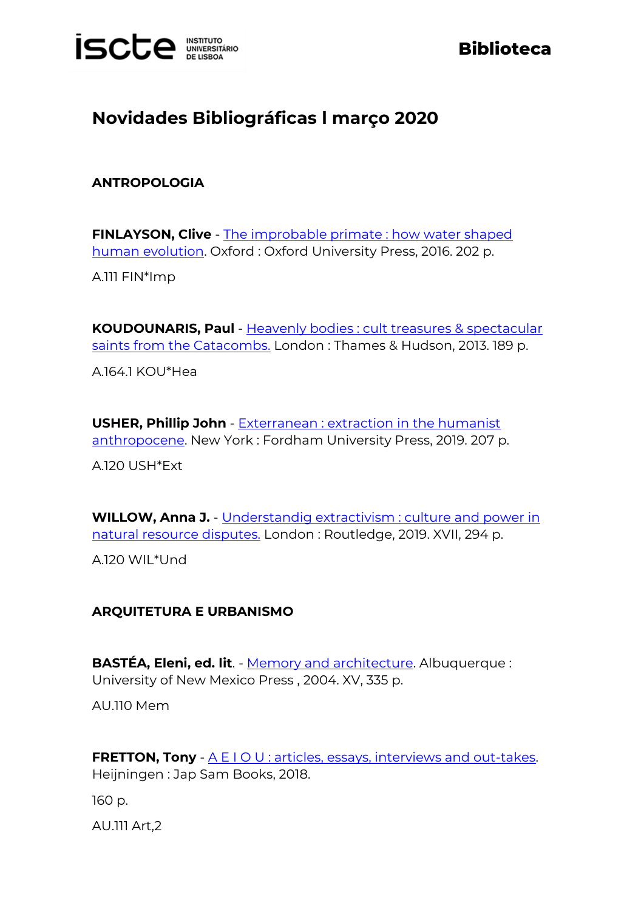

# **Biblioteca**

# **Novidades Bibliográficas l março 2020**

### **ANTROPOLOGIA**

**FINLAYSON, Clive** - [The improbable primate : how water shaped](https://catalogo.biblioteca.iscte-iul.pt/cgi-bin/koha/opac-detail.pl?biblionumber=104315)  [human evolution.](https://catalogo.biblioteca.iscte-iul.pt/cgi-bin/koha/opac-detail.pl?biblionumber=104315) Oxford : Oxford University Press, 2016. 202 p.

A.111 FIN\*Imp

**KOUDOUNARIS, Paul** - [Heavenly bodies : cult treasures & spectacular](http://catalogo.biblioteca.iscte-iul.pt/cgi-bin/koha/opac-detail.pl?biblionumber=104144)  [saints from the Catacombs.](http://catalogo.biblioteca.iscte-iul.pt/cgi-bin/koha/opac-detail.pl?biblionumber=104144) London: Thames & Hudson, 2013. 189 p.

A.164.1 KOU\*Hea

**USHER, Phillip John** - [Exterranean : extraction in the humanist](http://catalogo.biblioteca.iscte-iul.pt/cgi-bin/koha/opac-detail.pl?biblionumber=104143)  [anthropocene.](http://catalogo.biblioteca.iscte-iul.pt/cgi-bin/koha/opac-detail.pl?biblionumber=104143) New York : Fordham University Press, 2019. 207 p.

A.120 USH\*Ext

**WILLOW, Anna J.** - [Understandig extractivism : culture and power in](https://catalogo.biblioteca.iscte-iul.pt/cgi-bin/koha/opac-detail.pl?biblionumber=104238)  [natural resource disputes.](https://catalogo.biblioteca.iscte-iul.pt/cgi-bin/koha/opac-detail.pl?biblionumber=104238) London : Routledge, 2019. XVII, 294 p.

A.120 WIL\*Und

#### **ARQUITETURA E URBANISMO**

**BASTÉA, Eleni, ed. lit**. - [Memory and architecture.](http://catalogo.biblioteca.iscte-iul.pt/cgi-bin/koha/opac-detail.pl?biblionumber=104570) Albuquerque : University of New Mexico Press , 2004. XV, 335 p.

AU.110 Mem

**FRETTON, Tony** - [A E I O U : articles, essays, interviews and out-takes.](http://catalogo.biblioteca.iscte-iul.pt/cgi-bin/koha/opac-detail.pl?biblionumber=104571) Heijningen : Jap Sam Books, 2018.

160 p.

AU.111 Art,2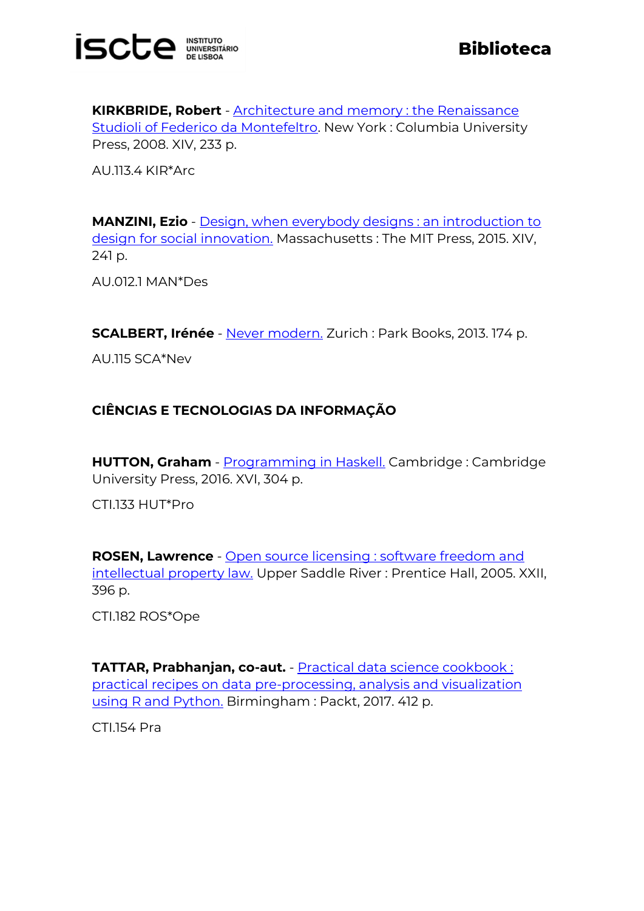

**KIRKBRIDE, Robert** - **Architecture and memory**: the Renaissance [Studioli of Federico da Montefeltro.](http://catalogo.biblioteca.iscte-iul.pt/cgi-bin/koha/opac-detail.pl?biblionumber=104541) New York : Columbia University Press, 2008. XIV, 233 p.

AU.113.4 KIR\*Arc

**MANZINI, Ezio** - [Design, when everybody designs : an introduction to](http://catalogo.biblioteca.iscte-iul.pt/cgi-bin/koha/opac-detail.pl?biblionumber=104573)  [design for social innovation.](http://catalogo.biblioteca.iscte-iul.pt/cgi-bin/koha/opac-detail.pl?biblionumber=104573) Massachusetts : The MIT Press, 2015. XIV, 241 p.

AU.012.1 MAN\*Des

**SCALBERT, Irénée** - [Never modern.](http://catalogo.biblioteca.iscte-iul.pt/cgi-bin/koha/opac-detail.pl?biblionumber=104743) Zurich : Park Books, 2013. 174 p.

AU.115 SCA\*Nev

# **CIÊNCIAS E TECNOLOGIAS DA INFORMAÇÃO**

**HUTTON, Graham** - [Programming in Haskell.](http://catalogo.biblioteca.iscte-iul.pt/cgi-bin/koha/opac-detail.pl?biblionumber=104085) Cambridge : Cambridge University Press, 2016. XVI, 304 p.

CTI.133 HUT\*Pro

**ROSEN, Lawrence** - [Open source licensing : software freedom and](http://catalogo.biblioteca.iscte-iul.pt/cgi-bin/koha/opac-detail.pl?biblionumber=104356)  [intellectual property law.](http://catalogo.biblioteca.iscte-iul.pt/cgi-bin/koha/opac-detail.pl?biblionumber=104356) Upper Saddle River : Prentice Hall, 2005. XXII, 396 p.

CTI.182 ROS\*Ope

**TATTAR, Prabhanjan, co-aut.** - [Practical data science cookbook :](http://catalogo.biblioteca.iscte-iul.pt/cgi-bin/koha/opac-detail.pl?biblionumber=103983)  [practical recipes on data pre-processing, analysis and visualization](http://catalogo.biblioteca.iscte-iul.pt/cgi-bin/koha/opac-detail.pl?biblionumber=103983)  [using R and Python.](http://catalogo.biblioteca.iscte-iul.pt/cgi-bin/koha/opac-detail.pl?biblionumber=103983) Birmingham : Packt, 2017. 412 p.

CTI.154 Pra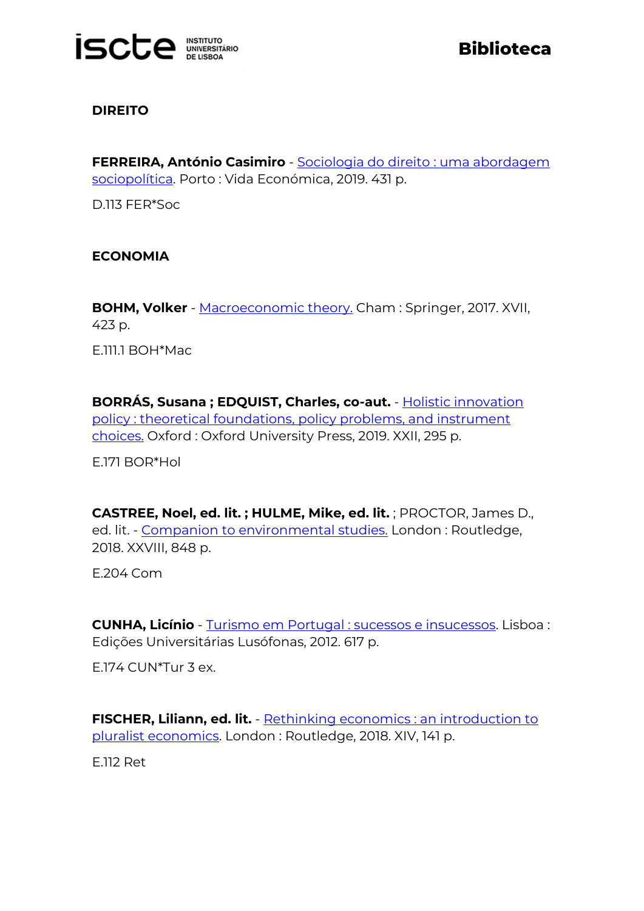

## **DIREITO**

**FERREIRA, António Casimiro** - [Sociologia do direito : uma abordagem](http://catalogo.biblioteca.iscte-iul.pt/cgi-bin/koha/opac-detail.pl?biblionumber=105408)  [sociopolítica.](http://catalogo.biblioteca.iscte-iul.pt/cgi-bin/koha/opac-detail.pl?biblionumber=105408) Porto : Vida Económica, 2019. 431 p.

D.113 FER\*Soc

## **ECONOMIA**

**BOHM, Volker** - [Macroeconomic theory.](http://catalogo.biblioteca.iscte-iul.pt/cgi-bin/koha/opac-detail.pl?biblionumber=103524) Cham : Springer, 2017. XVII, 423 p.

E.111.1 BOH\*Mac

**BORRÁS, Susana ; EDQUIST, Charles, co-aut.** - [Holistic innovation](http://catalogo.biblioteca.iscte-iul.pt/cgi-bin/koha/opac-detail.pl?biblionumber=104134)  [policy : theoretical foundations, policy problems, and instrument](http://catalogo.biblioteca.iscte-iul.pt/cgi-bin/koha/opac-detail.pl?biblionumber=104134)  [choices.](http://catalogo.biblioteca.iscte-iul.pt/cgi-bin/koha/opac-detail.pl?biblionumber=104134) Oxford : Oxford University Press, 2019. XXII, 295 p.

E.171 BOR\*Hol

**CASTREE, Noel, ed. lit. ; HULME, Mike, ed. lit.** ; PROCTOR, James D., ed. lit. - [Companion to environmental](http://catalogo.biblioteca.iscte-iul.pt/cgi-bin/koha/opac-detail.pl?biblionumber=104467) studies. London : Routledge, 2018. XXVIII, 848 p.

E.204 Com

**CUNHA, Licínio** - [Turismo em Portugal : sucessos e insucessos.](http://catalogo.biblioteca.iscte-iul.pt/cgi-bin/koha/opac-detail.pl?biblionumber=104208) Lisboa : Edições Universitárias Lusófonas, 2012. 617 p.

E.174 CUN\*Tur 3 ex.

**FISCHER, Liliann, ed. lit.** - [Rethinking economics : an introduction to](http://catalogo.biblioteca.iscte-iul.pt/cgi-bin/koha/opac-detail.pl?biblionumber=103724)  [pluralist economics.](http://catalogo.biblioteca.iscte-iul.pt/cgi-bin/koha/opac-detail.pl?biblionumber=103724) London : Routledge, 2018. XIV, 141 p.

E.112 Ret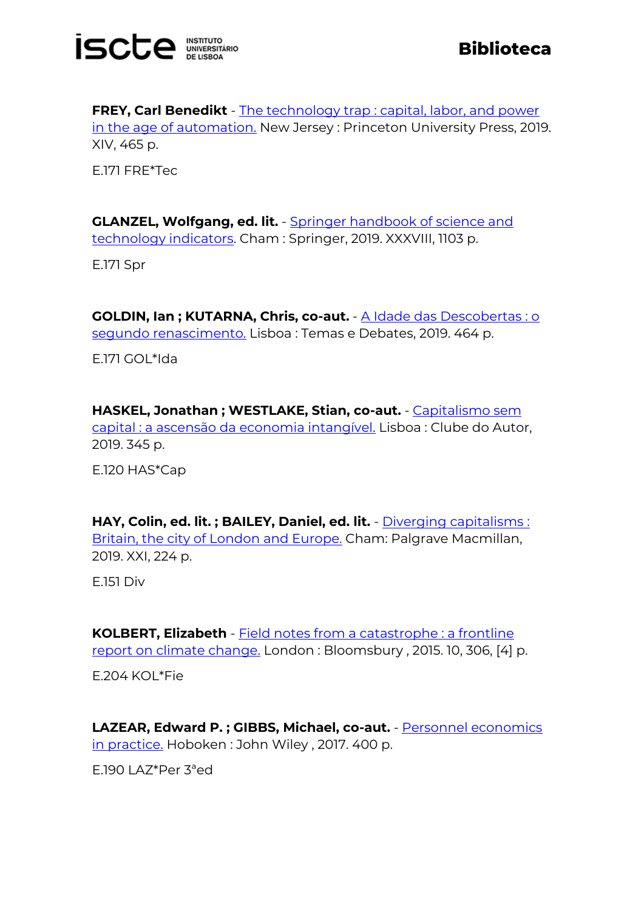

**FREY, Carl Benedikt** - The technology trap : capital, labor, and power [in the age of automation.](http://catalogo.biblioteca.iscte-iul.pt/cgi-bin/koha/opac-detail.pl?biblionumber=104642) New Jersey : Princeton University Press, 2019. XIV, 465 p.

E.171 FRE\*Tec

**GLANZEL, Wolfgang, ed. lit.** - [Springer handbook of science and](http://catalogo.biblioteca.iscte-iul.pt/cgi-bin/koha/opac-detail.pl?biblionumber=104250)  [technology indicators.](http://catalogo.biblioteca.iscte-iul.pt/cgi-bin/koha/opac-detail.pl?biblionumber=104250) Cham : Springer, 2019. XXXVIII, 1103 p.

E.171 Spr

**GOLDIN, Ian ; KUTARNA, Chris, co-aut.** - [A Idade das Descobertas : o](http://catalogo.biblioteca.iscte-iul.pt/cgi-bin/koha/opac-detail.pl?biblionumber=103925)  [segundo renascimento.](http://catalogo.biblioteca.iscte-iul.pt/cgi-bin/koha/opac-detail.pl?biblionumber=103925) Lisboa : Temas e Debates, 2019. 464 p.

E.171 GOL\*Ida

**HASKEL, Jonathan ; WESTLAKE, Stian, co-aut.** - [Capitalismo sem](http://catalogo.biblioteca.iscte-iul.pt/cgi-bin/koha/opac-detail.pl?biblionumber=103918)  [capital : a ascensão da economia intangível.](http://catalogo.biblioteca.iscte-iul.pt/cgi-bin/koha/opac-detail.pl?biblionumber=103918) Lisboa : Clube do Autor, 2019. 345 p.

E.120 HAS\*Cap

**HAY, Colin, ed. lit. ; BAILEY, Daniel, ed. lit.** - [Diverging capitalisms :](http://catalogo.biblioteca.iscte-iul.pt/cgi-bin/koha/opac-detail.pl?biblionumber=104031)  [Britain, the city of London and Europe.](http://catalogo.biblioteca.iscte-iul.pt/cgi-bin/koha/opac-detail.pl?biblionumber=104031) Cham: Palgrave Macmillan, 2019. XXI, 224 p.

E.151 Div

**KOLBERT, Elizabeth** - [Field notes from a catastrophe : a frontline](http://catalogo.biblioteca.iscte-iul.pt/cgi-bin/koha/opac-detail.pl?biblionumber=104077)  [report on climate change.](http://catalogo.biblioteca.iscte-iul.pt/cgi-bin/koha/opac-detail.pl?biblionumber=104077) London : Bloomsbury , 2015. 10, 306, [4] p.

E.204 KOL\*Fie

**LAZEAR, Edward P. ; GIBBS, Michael, co-aut.** - [Personnel economics](http://catalogo.biblioteca.iscte-iul.pt/cgi-bin/koha/opac-detail.pl?biblionumber=104313)  [in practice.](http://catalogo.biblioteca.iscte-iul.pt/cgi-bin/koha/opac-detail.pl?biblionumber=104313) Hoboken: John Wiley, 2017. 400 p.

E.190 LAZ\*Per 3ªed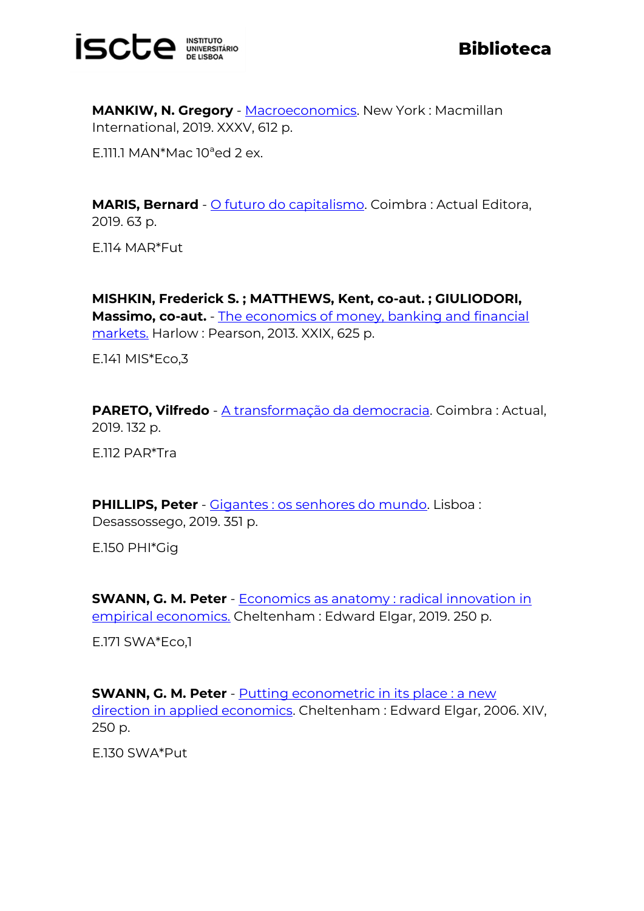

**MANKIW, N. Gregory** - [Macroeconomics.](http://catalogo.biblioteca.iscte-iul.pt/cgi-bin/koha/opac-detail.pl?biblionumber=104532) New York: Macmillan International, 2019. XXXV, 612 p.

E.111.1 MAN\*Mac 10ªed 2 ex.

**MARIS, Bernard** - [O futuro do capitalismo.](http://catalogo.biblioteca.iscte-iul.pt/cgi-bin/koha/opac-detail.pl?biblionumber=103915) Coimbra : Actual Editora, 2019. 63 p.

E.114 MAR\*Fut

**MISHKIN, Frederick S. ; MATTHEWS, Kent, co-aut. ; GIULIODORI, Massimo, co-aut.** - [The economics of money, banking and financial](http://catalogo.biblioteca.iscte-iul.pt/cgi-bin/koha/opac-detail.pl?biblionumber=104076)  [markets.](http://catalogo.biblioteca.iscte-iul.pt/cgi-bin/koha/opac-detail.pl?biblionumber=104076) Harlow : Pearson, 2013. XXIX, 625 p.

E.141 MIS\*Eco,3

**PARETO, Vilfredo** - [A transformação da democracia.](http://catalogo.biblioteca.iscte-iul.pt/cgi-bin/koha/opac-detail.pl?biblionumber=103914) Coimbra : Actual, 2019. 132 p.

E.112 PAR\*Tra

**PHILLIPS, Peter** - [Gigantes : os senhores do mundo.](http://catalogo.biblioteca.iscte-iul.pt/cgi-bin/koha/opac-detail.pl?biblionumber=105424) Lisboa : Desassossego, 2019. 351 p.

E.150 PHI\*Gig

**SWANN, G. M. Peter** - **Economics as anatomy: radical innovation in** [empirical economics.](http://catalogo.biblioteca.iscte-iul.pt/cgi-bin/koha/opac-detail.pl?biblionumber=104139) Cheltenham : Edward Elgar, 2019. 250 p.

E.171 SWA\*Eco,1

**SWANN, G. M. Peter** - [Putting econometric in its place : a new](http://catalogo.biblioteca.iscte-iul.pt/cgi-bin/koha/opac-detail.pl?biblionumber=104568)  [direction in applied economics.](http://catalogo.biblioteca.iscte-iul.pt/cgi-bin/koha/opac-detail.pl?biblionumber=104568) Cheltenham : Edward Elgar, 2006. XIV, 250 p.

E.130 SWA\*Put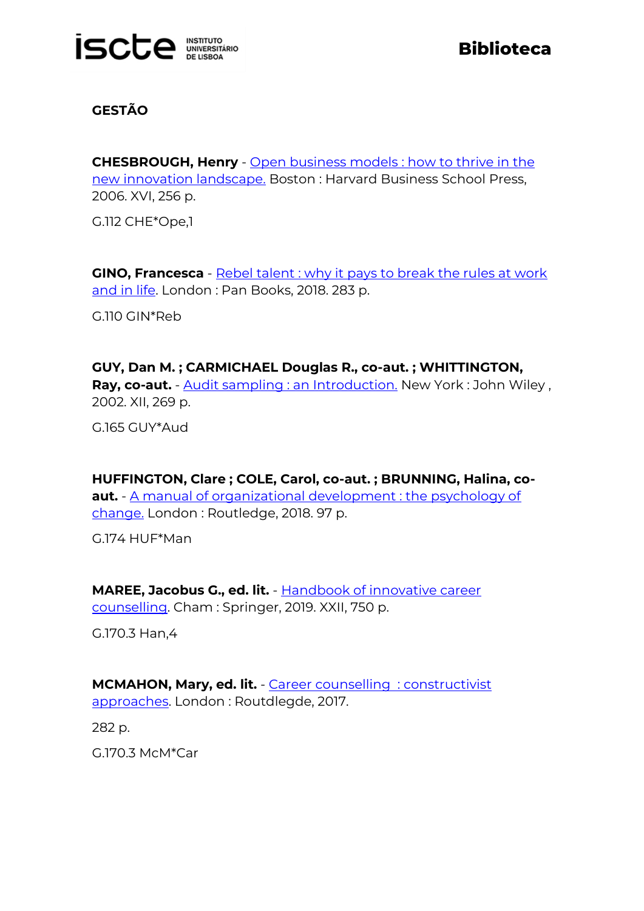

# **GESTÃO**

**CHESBROUGH, Henry** - [Open business models : how to thrive in the](http://catalogo.biblioteca.iscte-iul.pt/cgi-bin/koha/opac-detail.pl?biblionumber=104355)  [new innovation landscape.](http://catalogo.biblioteca.iscte-iul.pt/cgi-bin/koha/opac-detail.pl?biblionumber=104355) Boston : Harvard Business School Press, 2006. XVI, 256 p.

G.112 CHE\*Ope,1

**GINO, Francesca** - Rebel talent : why it pays to break the rules at work [and in life.](http://catalogo.biblioteca.iscte-iul.pt/cgi-bin/koha/opac-detail.pl?biblionumber=104105) London : Pan Books, 2018. 283 p.

G.110 GIN\*Reb

**GUY, Dan M. ; CARMICHAEL Douglas R., co-aut. ; WHITTINGTON,**  Ray, co-aut. - [Audit sampling : an Introduction.](http://catalogo.biblioteca.iscte-iul.pt/cgi-bin/koha/opac-detail.pl?biblionumber=104138) New York : John Wiley, 2002. XII, 269 p.

G.165 GUY\*Aud

**HUFFINGTON, Clare ; COLE, Carol, co-aut. ; BRUNNING, Halina, coaut.** - [A manual of organizational development : the psychology of](http://catalogo.biblioteca.iscte-iul.pt/cgi-bin/koha/opac-detail.pl?biblionumber=104249)  [change.](http://catalogo.biblioteca.iscte-iul.pt/cgi-bin/koha/opac-detail.pl?biblionumber=104249) London : Routledge, 2018. 97 p.

G.174 HUF\*Man

**MAREE, Jacobus G., ed. lit.** - [Handbook of innovative career](http://catalogo.biblioteca.iscte-iul.pt/cgi-bin/koha/opac-detail.pl?biblionumber=104188)  [counselling.](http://catalogo.biblioteca.iscte-iul.pt/cgi-bin/koha/opac-detail.pl?biblionumber=104188) Cham : Springer, 2019. XXII, 750 p.

G.170.3 Han,4

**MCMAHON, Mary, ed. lit.** - [Career counselling](http://catalogo.biblioteca.iscte-iul.pt/cgi-bin/koha/opac-detail.pl?biblionumber=104104) : constructivist [approaches.](http://catalogo.biblioteca.iscte-iul.pt/cgi-bin/koha/opac-detail.pl?biblionumber=104104) London : Routdlegde, 2017.

282 p.

G.170.3 McM\*Car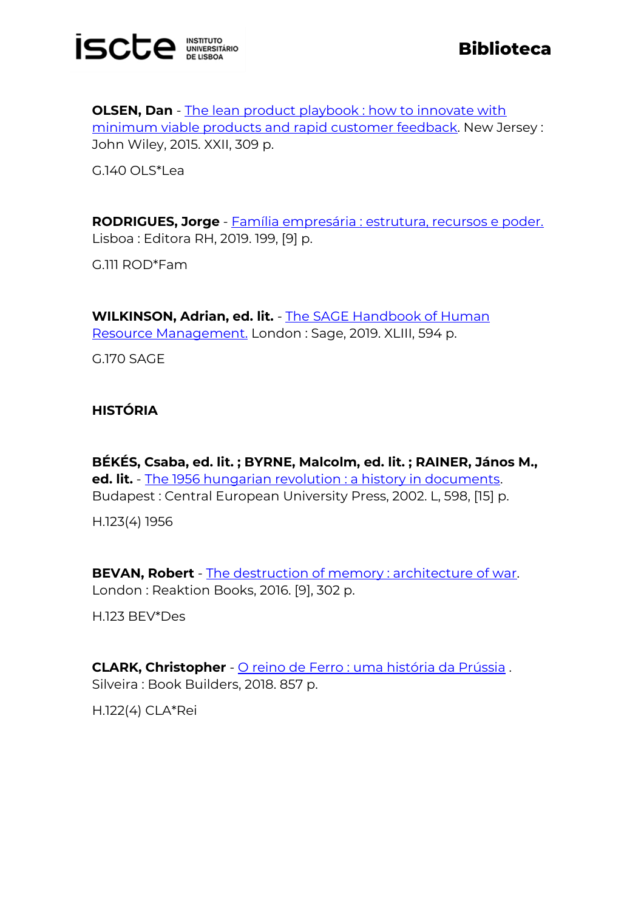

**OLSEN, Dan** - The lean product playbook : how to innovate with [minimum viable products and rapid customer feedback.](http://catalogo.biblioteca.iscte-iul.pt/cgi-bin/koha/opac-detail.pl?biblionumber=104454) New Jersey : John Wiley, 2015. XXII, 309 p.

G.140 OLS\*Lea

**RODRIGUES, Jorge** - [Família empresária : estrutura, recursos e poder.](http://catalogo.biblioteca.iscte-iul.pt/cgi-bin/koha/opac-detail.pl?biblionumber=104433) Lisboa : Editora RH, 2019. 199, [9] p.

G.111 ROD\*Fam

**WILKINSON, Adrian, ed. lit.** - [The SAGE Handbook of Human](http://catalogo.biblioteca.iscte-iul.pt/cgi-bin/koha/opac-detail.pl?biblionumber=104113)  [Resource Management.](http://catalogo.biblioteca.iscte-iul.pt/cgi-bin/koha/opac-detail.pl?biblionumber=104113) London : Sage, 2019. XLIII, 594 p.

G.170 SAGE

**HISTÓRIA**

**BÉKÉS, Csaba, ed. lit. ; BYRNE, Malcolm, ed. lit. ; RAINER, János M., ed. lit.** - [The 1956 hungarian revolution : a history in documents.](http://catalogo.biblioteca.iscte-iul.pt/cgi-bin/koha/opac-detail.pl?biblionumber=104561) Budapest : Central European University Press, 2002. L, 598, [15] p.

H.123(4) 1956

**BEVAN, Robert** - [The destruction of memory : architecture of war.](http://catalogo.biblioteca.iscte-iul.pt/cgi-bin/koha/opac-detail.pl?biblionumber=104542) London : Reaktion Books, 2016. [9], 302 p.

H.123 BEV\*Des

**CLARK, Christopher** - [O reino de Ferro : uma história da Prússia](http://catalogo.biblioteca.iscte-iul.pt/cgi-bin/koha/opac-detail.pl?biblionumber=104644) . Silveira : Book Builders, 2018. 857 p.

H.122(4) CLA\*Rei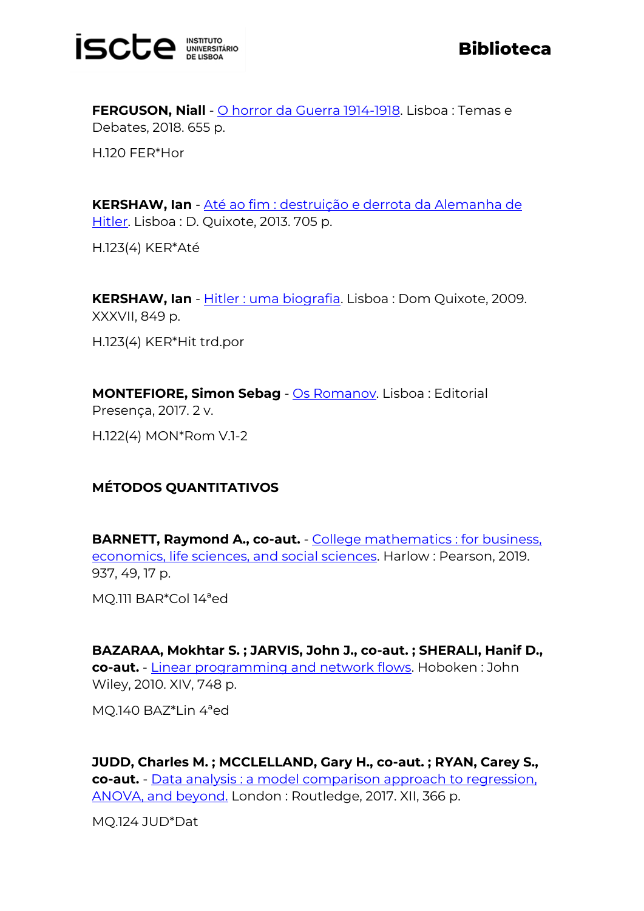

**FERGUSON, Niall** - [O horror da Guerra 1914-1918.](http://catalogo.biblioteca.iscte-iul.pt/cgi-bin/koha/opac-detail.pl?biblionumber=105306) Lisboa : Temas e Debates, 2018. 655 p.

H.120 FER\*Hor

**KERSHAW, Ian** - [Até ao fim : destruição e derrota da Alemanha de](http://catalogo.biblioteca.iscte-iul.pt/cgi-bin/koha/opac-detail.pl?biblionumber=105406)  [Hitler.](http://catalogo.biblioteca.iscte-iul.pt/cgi-bin/koha/opac-detail.pl?biblionumber=105406) Lisboa : D. Quixote, 2013. 705 p.

H.123(4) KER\*Até

**KERSHAW, Ian** - [Hitler : uma biografia.](http://catalogo.biblioteca.iscte-iul.pt/cgi-bin/koha/opac-detail.pl?biblionumber=105404) Lisboa : Dom Quixote, 2009. XXXVII, 849 p.

H.123(4) KER\*Hit trd.por

**MONTEFIORE, Simon Sebag** - [Os Romanov.](http://catalogo.biblioteca.iscte-iul.pt/cgi-bin/koha/opac-detail.pl?biblionumber=104429) Lisboa : Editorial Presença, 2017. 2 v. H.122(4) MON\*Rom V.1-2

# **MÉTODOS QUANTITATIVOS**

**BARNETT. Raymond A., co-aut.** - College mathematics : for business. [economics, life sciences, and social sciences.](http://catalogo.biblioteca.iscte-iul.pt/cgi-bin/koha/opac-detail.pl?biblionumber=104067) Harlow : Pearson, 2019. 937, 49, 17 p.

MQ.111 BAR\*Col 14ªed

**BAZARAA, Mokhtar S. ; JARVIS, John J., co-aut. ; SHERALI, Hanif D., co-aut.** - [Linear programming and network flows.](http://catalogo.biblioteca.iscte-iul.pt/cgi-bin/koha/opac-detail.pl?biblionumber=104011) Hoboken : John Wiley, 2010. XIV, 748 p.

MQ.140 BAZ\*Lin 4ªed

**JUDD, Charles M. ; MCCLELLAND, Gary H., co-aut. ; RYAN, Carey S., co-aut.** - Data analysis : [a model comparison approach to regression,](http://catalogo.biblioteca.iscte-iul.pt/cgi-bin/koha/opac-detail.pl?biblionumber=104239)  [ANOVA, and beyond.](http://catalogo.biblioteca.iscte-iul.pt/cgi-bin/koha/opac-detail.pl?biblionumber=104239) London : Routledge, 2017. XII, 366 p.

MQ.124 JUD\*Dat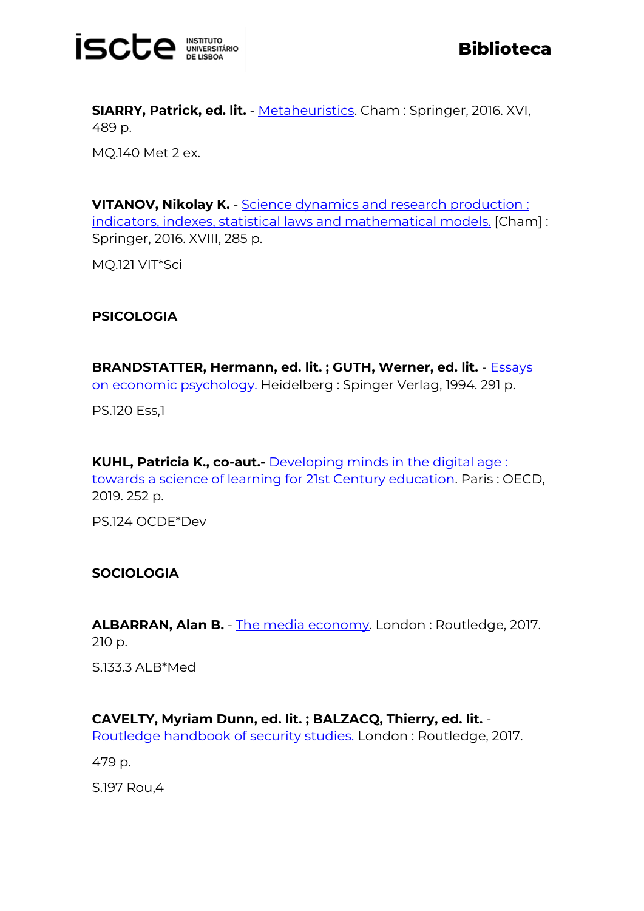

**SIARRY, Patrick, ed. lit.** - [Metaheuristics.](http://catalogo.biblioteca.iscte-iul.pt/cgi-bin/koha/opac-detail.pl?biblionumber=104236) Cham : Springer, 2016. XVI, 489 p.

MQ.140 Met 2 ex.

**VITANOV, Nikolay K.** - Science dynamics and research production: [indicators, indexes, statistical laws and mathematical models.](http://catalogo.biblioteca.iscte-iul.pt/cgi-bin/koha/opac-detail.pl?biblionumber=103479) [Cham] : Springer, 2016. XVIII, 285 p.

MQ.121 VIT\*Sci

#### **PSICOLOGIA**

**BRANDSTATTER, Hermann, ed. lit. ; GUTH, Werner, ed. lit.** - [Essays](http://catalogo.biblioteca.iscte-iul.pt/cgi-bin/koha/opac-detail.pl?biblionumber=103477)  [on economic psychology.](http://catalogo.biblioteca.iscte-iul.pt/cgi-bin/koha/opac-detail.pl?biblionumber=103477) Heidelberg : Spinger Verlag, 1994. 291 p.

PS.120 Ess,1

**KUHL, Patricia K., co-aut.-** [Developing minds in the digital age :](http://catalogo.biblioteca.iscte-iul.pt/cgi-bin/koha/opac-detail.pl?biblionumber=104314)  [towards a science of learning for 21st Century education.](http://catalogo.biblioteca.iscte-iul.pt/cgi-bin/koha/opac-detail.pl?biblionumber=104314) Paris : OECD, 2019. 252 p.

PS.124 OCDE\*Dev

#### **SOCIOLOGIA**

**ALBARRAN, Alan B.** - [The media economy.](http://catalogo.biblioteca.iscte-iul.pt/cgi-bin/koha/opac-detail.pl?biblionumber=104106) London : Routledge, 2017. 210 p.

S.133.3 ALB\*Med

## **CAVELTY, Myriam Dunn, ed. lit. ; BALZACQ, Thierry, ed. lit.** -

[Routledge handbook](http://catalogo.biblioteca.iscte-iul.pt/cgi-bin/koha/opac-detail.pl?biblionumber=104137) of security studies. London : Routledge, 2017.

479 p.

S.197 Rou,4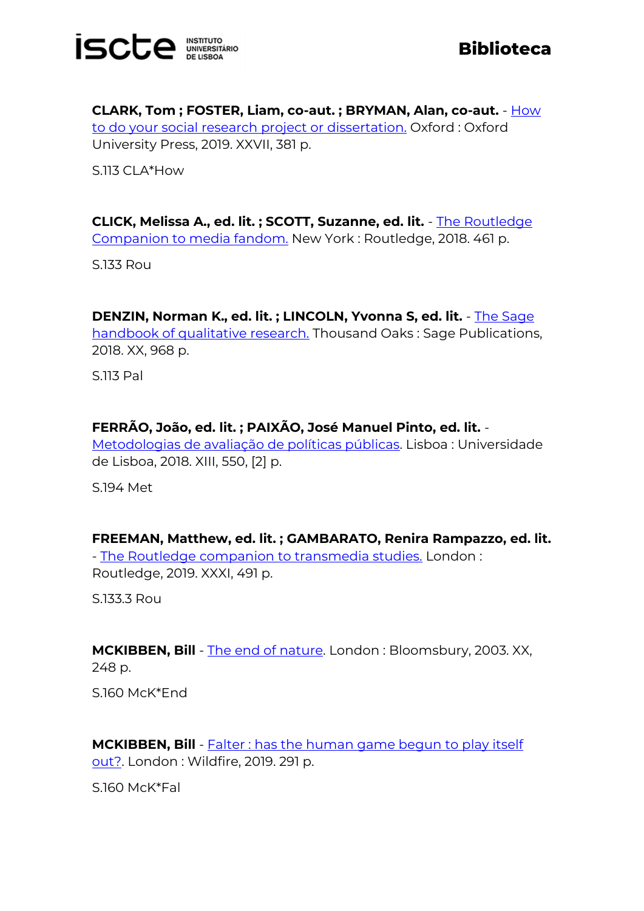

**Biblioteca**

**CLARK, Tom ; FOSTER, Liam, co-aut. ; BRYMAN, Alan, co-aut.** - [How](http://catalogo.biblioteca.iscte-iul.pt/cgi-bin/koha/opac-detail.pl?biblionumber=104639)  [to do your social research project or dissertation.](http://catalogo.biblioteca.iscte-iul.pt/cgi-bin/koha/opac-detail.pl?biblionumber=104639) Oxford : Oxford University Press, 2019. XXVII, 381 p.

S.113 CLA\*How

**CLICK, Melissa A., ed. lit. ; SCOTT, Suzanne, ed. lit.** - [The Routledge](http://catalogo.biblioteca.iscte-iul.pt/cgi-bin/koha/opac-detail.pl?biblionumber=104112)  [Companion to media fandom.](http://catalogo.biblioteca.iscte-iul.pt/cgi-bin/koha/opac-detail.pl?biblionumber=104112) New York : Routledge, 2018. 461 p.

S.133 Rou

**DENZIN, Norman K., ed. lit. ; LINCOLN, Yvonna S, ed. lit.** - [The Sage](http://catalogo.biblioteca.iscte-iul.pt/cgi-bin/koha/opac-detail.pl?biblionumber=104037)  [handbook of qualitative research.](http://catalogo.biblioteca.iscte-iul.pt/cgi-bin/koha/opac-detail.pl?biblionumber=104037) Thousand Oaks : Sage Publications, 2018. XX, 968 p.

S.113 Pal

## **FERRÃO, João, ed. lit. ; PAIXÃO, José Manuel Pinto, ed. lit.** -

[Metodologias de avaliação de políticas públicas.](http://catalogo.biblioteca.iscte-iul.pt/cgi-bin/koha/opac-detail.pl?biblionumber=105309) Lisboa : Universidade de Lisboa, 2018. XIII, 550, [2] p.

S.194 Met

**FREEMAN, Matthew, ed. lit. ; GAMBARATO, Renira Rampazzo, ed. lit.** - [The Routledge companion to transmedia studies.](http://catalogo.biblioteca.iscte-iul.pt/cgi-bin/koha/opac-detail.pl?biblionumber=104110) London: Routledge, 2019. XXXI, 491 p.

S.133.3 Rou

**MCKIBBEN, Bill** - [The end of nature.](http://catalogo.biblioteca.iscte-iul.pt/cgi-bin/koha/opac-detail.pl?biblionumber=104636) London : Bloomsbury, 2003. XX, 248 p.

S.160 McK\*End

**MCKIBBEN, Bill** - **Falter : has the human game begun to play itself** [out?.](http://catalogo.biblioteca.iscte-iul.pt/cgi-bin/koha/opac-detail.pl?biblionumber=104569) London : Wildfire, 2019. 291 p.

S.160 McK\*Fal